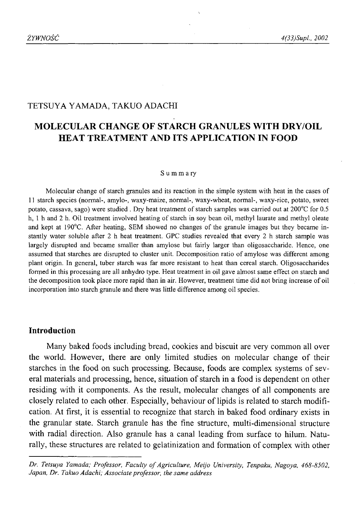## TETSUYA YAMADA, TAKUO ADACHI

# **MOLECULAR CHANGE OF STARCH GRANULES WITH DRY/OIL HEAT TREATMENT AND ITS APPLICATION IN FOOD**

#### Summary

Molecular change of starch granules and its reaction in the simple system with heat in the cases of 11 starch species (normal-, amylo-, waxy-maize, normal-, waxy-wheat, normal-, waxy-rice, potato, sweet potato, cassava, sago) were studied . Dry heat treatment of starch samples was carried out at 200°C for 0.5 h, 1 h and 2 h. Oil treatment involved heating of starch in soy bean oil, methyl laurate and methyl oleate and kept at 190°C. After heating, SEM showed no changes of the granule images but they became instantly water soluble after 2 h heat treatment. GPC studies revealed that every 2 h starch sample was largely disrupted and became smaller than amylose but fairly larger than oligosaccharide. Hence, one assumed that starches are disrupted to cluster unit. Decomposition ratio of amylose was different among plant origin. In general, tuber starch was far more resistant to heat than cereal starch. Oligosaccharides formed in this processing are all anhydro type. Heat treatment in oil gave almost same effect on starch and the decomposition took place more rapid than in air. However, treatment time did not bring increase of oil incorporation into starch granule and there was little difference among oil species.

### **Introduction**

Many baked foods including bread, cookies and biscuit are very common all over the world. However, there are only limited studies on molecular change of their starches in the food on such processing. Because, foods are complex systems of several materials and processing, hence, situation of starch in a food is dependent on other residing with it components. As the result, molecular changes of all components are closely related to each other. Especially, behaviour of lipids is related to starch modification. At first, it is essential to recognize that starch in baked food ordinary exists in the granular state. Starch granule has the fine structure, multi-dimensional structure with radial direction. Also granule has a canal leading from surface to hilum. Naturally, these structures are related to gelatinization and formation of complex with other

*Dr. Tetsuya Yamada; Professor, Faculty o f Agriculture, Meijo University, Tenpaku, Nagoya, 468-8502, Japan, Dr. Takuo Adachi; Associate professor, the same address*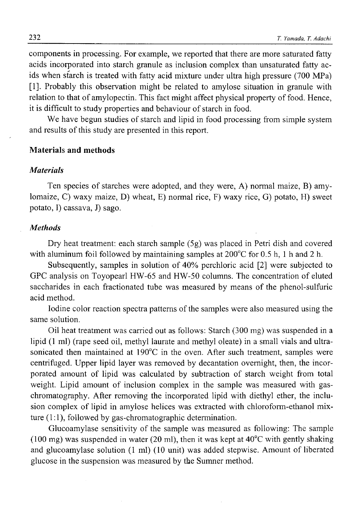components in processing. For example, we reported that there are more saturated fatty acids incorporated into starch granule as inclusion complex than unsaturated fatty acids when starch is treated with fatty acid mixture under ultra high pressure (700 MPa) [1]. Probably this observation might be related to amylose situation in granule with relation to that of amylopectin. This fact might affect physical property of food. Hence, it is difficult to study properties and behaviour of starch in food.

We have begun studies of starch and lipid in food processing from simple system and results of this study are presented in this report.

### **Materials and methods**

#### *Materials*

Ten species of starches were adopted, and they were, A) normal maize, B) amylomaize, C) waxy maize, D) wheat, E) normal rice, F) waxy rice, G) potato, H) sweet potato, I) cassava, J) sago.

#### *Methods*

Dry heat treatment: each starch sample (5g) was placed in Petri dish and covered with aluminum foil followed by maintaining samples at 200°C for 0.5 h, 1 h and 2 h.

Subsequently, samples in solution of 40% perchloric acid [2] were subjected to GPC analysis on Toyopearl HW-65 and HW-50 columns. The concentration of eluted saccharides in each fractionated tube was measured by means of the phenol-sulfuric acid method.

Iodine color reaction spectra patterns of the samples were also measured using the same solution.

Oil heat treatment was carried out as follows: Starch (300 mg) was suspended in a lipid (1 ml) (rape seed oil, methyl laurate and methyl oleate) in a small vials and ultrasonicated then maintained at 190°C in the oven. After such treatment, samples were centrifuged. Upper lipid layer was removed by decantation overnight, then, the incorporated amount of lipid was calculated by subtraction of starch weight from total weight. Lipid amount of inclusion complex in the sample was measured with gaschromatography. After removing the incorporated lipid with diethyl ether, the inclusion complex of lipid in amylose helices was extracted with chloroform-ethanol mixture (1:1), followed by gas-chromatographic determination.

Glucoamylase sensitivity of the sample was measured as following: The sample  $(100 \text{ mg})$  was suspended in water (20 ml), then it was kept at  $40^{\circ}$ C with gently shaking and glucoamylase solution (1 ml) (10 unit) was added stepwise. Amount of liberated glucose in the suspension was measured by the Sumner method.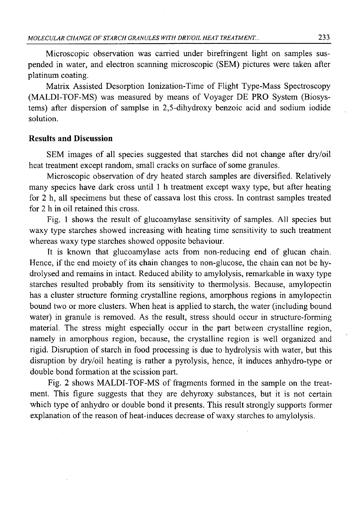Microscopic observation was carried under birefringent light on samples suspended in water, and electron scanning microscopic (SEM) pictures were taken after platinum coating.

Matrix Assisted Desorption Ionization-Time of Flight Type-Mass Spectroscopy (MALDI-TOF-MS) was measured by means of Voyager DE PRO System (Biosystems) after dispersion of samplse in 2,5-dihydroxy benzoic acid and sodium iodide solution.

### **Results and Discussion**

SEM images of all species suggested that starches did not change after dry/oil heat treatment except random, small cracks on surface of some granules.

Microscopic observation of dry heated starch samples are diversified. Relatively many species have dark cross until 1 h treatment except waxy type, but after heating for 2 h, all specimens but these of cassava lost this cross. In contrast samples treated for 2 h in oil retained this cross.

Fig. 1 shows the result of glucoamylase sensitivity of samples. All species but waxy type starches showed increasing with heating time sensitivity to such treatment whereas waxy type starches showed opposite behaviour.

It is known that glucoamylase acts from non-reducing end of glucan chain. Hence, if the end moiety of its chain changes to non-glucose, the chain can not be hydrolysed and remains in intact. Reduced ability to amylolysis, remarkable in waxy type starches resulted probably from its sensitivity to thermolysis. Because, amylopectin has a cluster structure forming crystalline regions, amorphous regions in amylopectin bound two or more clusters. When heat is applied to starch, the water (including bound water) in granule is removed. As the result, stress should occur in structure-forming material. The stress might especially occur in the part between crystalline region, namely in amorphous region, because, the crystalline region is well organized and rigid. Disruption of starch in food processing is due to hydrolysis with water, but this disruption by dry/oil heating is rather a pyrolysis, hence, it induces anhydro-type or double bond formation at the scission part.

Fig. 2 shows MALDI-TOF-MS of fragments formed in the sample on the treatment. This figure suggests that they are dehyroxy substances, but it is not certain which type of anhydro or double bond it presents. This result strongly supports former explanation of the reason of heat-induces decrease of waxy starches to amylolysis.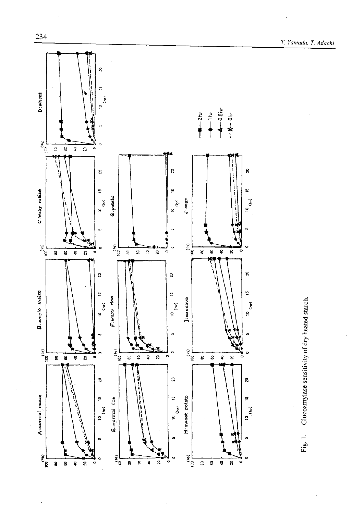

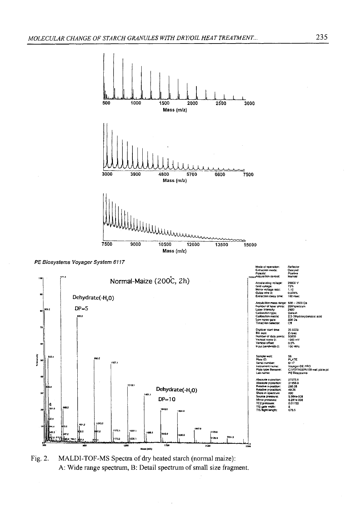

*PE Biosystems Voyager System 6117*



Fig. 2. MALDI-TOF-MS Spectra of dry heated starch (normal maize): A: Wide range spectrum, B: Detail spectrum of small size fragment.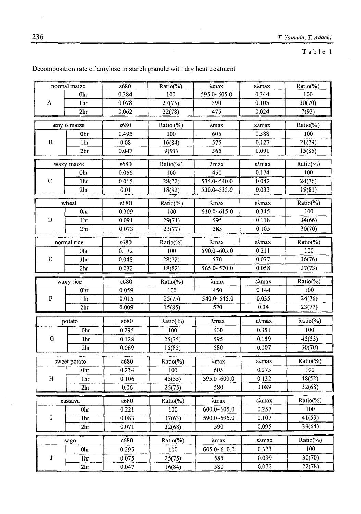Table 1

|            | ε680<br>normal maize                              |                | Ratio(%)        | λmax            | ελmax | Ratio(%)        |
|------------|---------------------------------------------------|----------------|-----------------|-----------------|-------|-----------------|
| A          | 0hr                                               | 0.284          | 100             | 595.0~605.0     | 0.344 | 100             |
|            | 1hr                                               | 0.078          | 27(73)          | 590             | 0.105 | 30(70)          |
|            | 2 <sub>hr</sub>                                   | 0.062          | 22(78)          | 475             | 0.024 | 7(93)           |
|            | amylo maize                                       | ε680           | Ratio (%)       | λmax            | ελmax | Ratio(%)        |
| в          | 0hr                                               | 0.495          | 100             | 605             | 0.588 | 100             |
|            | 1hr                                               | 0.08           | 16(84)          | 575             | 0.127 | 21(79)          |
|            | 2 <sub>hr</sub>                                   | 0.047          | 9(91)           | 565             | 0.091 | 15(85)          |
| waxy maize |                                                   | ε680           | Ratio(%)        | λmax            | ελmax | Ratio(%)        |
| C          | Ohr                                               | 0.056          | 100             | 450             | 0.174 | 100             |
|            | 1hr                                               | 0.015          | 28(72)          | 535.0~540.0     | 0.042 | 24(76)          |
|            | 2 <sub>hr</sub>                                   | 0.01           | 18(82)          | 530.0~535.0     | 0.033 | 19(81)          |
|            | wheat                                             | ε680           | Ratio(%)        | $\lambda$ max   | ελmax | Ratio(%)        |
|            | 0 <sub>hr</sub>                                   | 0.309          | 100             | $610.0 - 615.0$ | 0.345 | 100             |
| D          | 1hr                                               | 0.091          | 29(71)          | 595             | 0.118 | 34(66)          |
|            | 2 <sub>hr</sub>                                   | 0.073          | 23(77)          | 585             | 0.105 | 30(70)          |
|            | normal rice                                       | ε680           | Ratio(%)        | $\lambda$ max   | ελmax | Ratio(%)        |
| E          | 0hr                                               | 0.172          | 100             | 590.0~605.0     | 0.211 | 100             |
|            | 1hr                                               | 0.048          | 28(72)          | 570             | 0.077 | 36(76)          |
|            | 2 <sub>hr</sub>                                   | 0.032          | 18(82)          | $565.0 - 570.0$ | 0.058 | 27(73)          |
| waxy rice  |                                                   | ε680           | Ratio(%)        | $\lambda$ max   | ελmax | Ratio(%)        |
|            | 0hr                                               | 0.059          | 100             | 450             | 0.144 | 100             |
| F          | 1 <sub>hr</sub>                                   | 0.015          | 25(75)          | 540.0~545.0     | 0.035 | 24(76)          |
|            | 2 <sub>hr</sub>                                   | 0.009          | 15(85)          | 520             | 0.34  | 23(77)          |
| potato     |                                                   | ε680           | Ratio(%)        | $\lambda$ max   | ελmax | Ratio(%)        |
|            | 0hr                                               | 0.295          | 100             | 600             | 0.351 | 100             |
| G          | 1hr                                               | 0.128          | 25(75)          | 595             | 0.159 | 45(55)          |
|            | 2 <sub>hr</sub>                                   | 0.069          | 15(85)          | 580             | 0.107 | 30(70)          |
|            | ελmax<br>ε680<br>Ratio(%)<br>λmax<br>sweet potato |                |                 |                 |       |                 |
|            | 0hr                                               | 0.234          | 100             | 605             | 0.275 | Ratio(%)<br>100 |
| H          | 1hr                                               | 0.106          | 45(55)          | 595.0~600.0     | 0.132 | 48(52)          |
|            | 2 <sub>hr</sub>                                   | 0.06           | 25(75)          | 580             | 0.089 | 32(68)          |
| cassava    |                                                   | ε680           | Ratio(%)        | λmax            | ελmax | Ratio(%)        |
|            | 0hr                                               | 0.221          | 100             | 600.0~605.0     | 0.257 | 100             |
| I          | 1hr                                               | 0.083          | 37(63)          | 590.0~595.0     | 0.107 | 41(59)          |
|            | 2hr                                               | 0.071          | 32(68)          | 590             | 0.095 | 39(64)          |
|            |                                                   | ε680           |                 | λmax            | ελmax | Ratio(%)        |
| J          | sago<br>0hr                                       | 0.295          | Ratio(%)<br>100 | 605.0~610.0     | 0.323 | 100             |
|            |                                                   |                |                 |                 | 0.099 | 30(70)          |
|            | 1hr<br>$\overline{2}$ hr                          | 0.075<br>0.047 | 25(75)          | 585<br>580      | 0.072 | 22(78)          |
|            |                                                   |                | 16(84)          |                 |       |                 |

## Decomposition rate of amylose in starch granule with dry heat treatment

l,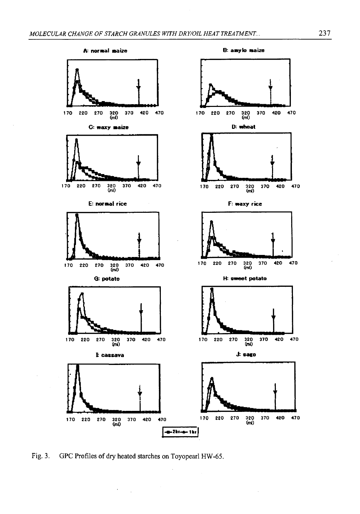

**Fig. 3. GPC Profiles of dry heated starches on Toyopearl HW-65.**

 $\sim 10$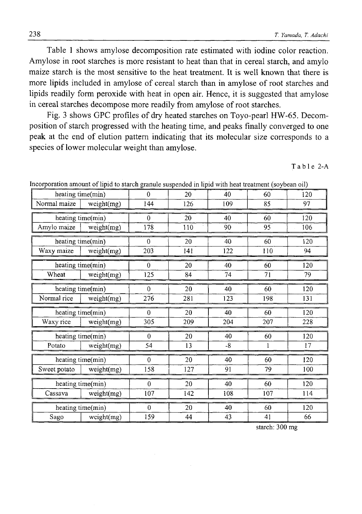Table 1 shows amylose decomposition rate estimated with iodine color reaction. Amylose in root starches is more resistant to heat than that in cereal starch, and amylo maize starch is the most sensitive to the heat treatment. It is well known that there is more lipids included in amylose of cereal starch than in amylose of root starches and lipids readily form peroxide with heat in open air. Hence, it is suggested that amylose in cereal starches decompose more readily from amylose of root starches.

Fig. 3 shows GPC profiles of dry heated starches on Toyo-pearl HW-65. Decomposition of starch progressed with the heating time, and peaks finally converged to one peak at the end of elution pattern indicating that its molecular size corresponds to a species of lower molecular weight than amylose.

Table 2-A

| heating time(min)                |            | $\Omega$     | 20  | 40   | 60  | 120 |
|----------------------------------|------------|--------------|-----|------|-----|-----|
| Normal maize                     | weight(mg) | 144          | 126 | 109  | 85  | 97  |
|                                  |            | $\Omega$     | 20  | 40   | 60  | 120 |
| heating time(min)<br>Amylo maize |            | 178          | 110 | 90   | 95  | 106 |
|                                  | weight(mg) |              |     |      |     |     |
| heating time(min)                |            | $\theta$     | 20  | 40   | 60  | 120 |
| Waxy maize                       | weight(mg) | 203          | 141 | 122  | 110 | 94  |
| heating time(min)                |            | $\theta$     | 20  | 40   | 60  | 120 |
| Wheat                            | weight(mg) | 125          | 84  | 74   | 71  | 79  |
| heating time(min)                |            | $\theta$     | 20  | 40   | 60  | 120 |
| Normal rice                      | weight(mg) | 276          | 281 | 123  | 198 | 131 |
| heating time(min)                |            | $\Omega$     | 20  | 40   | 60  | 120 |
| Waxy rice                        | weight(mg) | 305          | 209 | 204  | 207 | 228 |
| heating time(min)                |            | $\theta$     | 20  | 40   | 60  | 120 |
| Potato                           | weight(mg) | 54           | 13  | $-8$ | 1   | 17  |
| heating time(min)                |            | $\Omega$     | 20  | 40   | 60  | 120 |
| Sweet potato                     | weight(mg) | 158          | 127 | 91   | 79  | 100 |
| heating time(min)                |            | $\mathbf{0}$ | 20  | 40   | 60  | 120 |
| Cassava                          | weight(mg) | 107          | 142 | 108  | 107 | 114 |
| heating time(min)                |            | $\theta$     | 20  | 40   | 60  | 120 |
| Sago<br>weight(mg)               |            | 159          | 44  | 43   | 41  | 66  |

Incorporation amount of lipid to starch granule suspended in lipid with heat treatment (soybean oil)

starch: 300 mg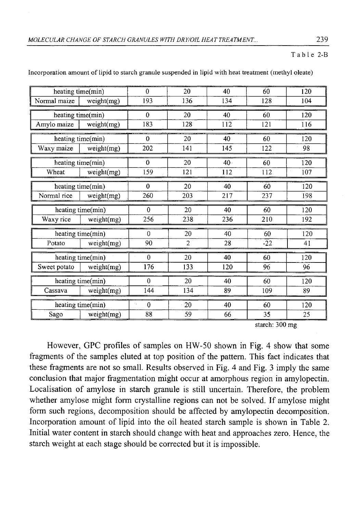### Table 2-B

| heating time(min) |            | $\theta$ | 20             | 40              | 60                       | 120 |
|-------------------|------------|----------|----------------|-----------------|--------------------------|-----|
| Normal maize      | weight(mg) | 193      | 136            | 134             | 128                      | 104 |
| heating time(min) |            | $\theta$ | 20             | 40              | 60                       | 120 |
| Amylo maize       | weight(mg) |          | 128            | 112             | 121                      | 116 |
| heating time(min) |            | $\Omega$ | 20             | 40              | 60                       | 120 |
| Waxy maize        | weight(mg) | 202      | 141            | 145             | 122                      | 98  |
| heating time(min) |            | $\Omega$ | 20             | 40 <sup>°</sup> | 60                       | 120 |
| Wheat             | weight(mg) | 159      | 121            | 112             | 112                      | 107 |
| heating time(min) |            | $\theta$ | 20             | 40              | 60                       | 120 |
| Normal rice       | weight(mg) | 260      | 203            | 217             | 237                      | 198 |
| heating time(min) |            | $\Omega$ | 20             | 40              | 60                       | 120 |
| Waxy rice         | weight(mg) | 256      | 238            | 236             | 210                      | 192 |
| heating time(min) |            | $\Omega$ | 20             | 40              | 60                       | 120 |
| Potato            | weight(mg) | 90       | $\overline{2}$ | 28              | $-22$                    | 41  |
| heating time(min) |            | $\theta$ | 20             | 40              | 60                       | 120 |
| Sweet potato      | weight(mg) | 176      | 133            | 120             | 96                       | 96  |
| heating time(min) |            | $\Omega$ | 20             | 40              | 60                       | 120 |
| Cassava           | weight(mg) | 144      | 134            | 89              | 109                      | 89  |
| heating time(min) |            | $\theta$ | 20             | 40              | 60                       | 120 |
| Sago              | weight(mg) | 88       | 59             | 66              | 35                       | 25  |
|                   |            |          |                |                 | starch: $300 \text{ ma}$ |     |

Incorporation amount of lipid to starch granule suspended in lipid with heat treatment (methyl oleate)

starch: 300 mg

However, GPC profiles of samples on HW-50 shown in Fig. 4 show that some fragments of the samples eluted at top position of the pattern. This fact indicates that these fragments are not so small. Results observed in Fig. 4 and Fig. 3 imply the same conclusion that major fragmentation might occur at amorphous region in amylopectin. Localisation of amylose in starch granule is still uncertain. Therefore, the problem whether amylose might form crystalline regions can not be solved. If amylose might form such regions, decomposition should be affected by amylopectin decomposition. Incorporation amount of lipid into the oil heated starch sample is shown in Table 2. Initial water content in starch should change with heat and approaches zero. Hence, the starch weight at each stage should be corrected but it is impossible.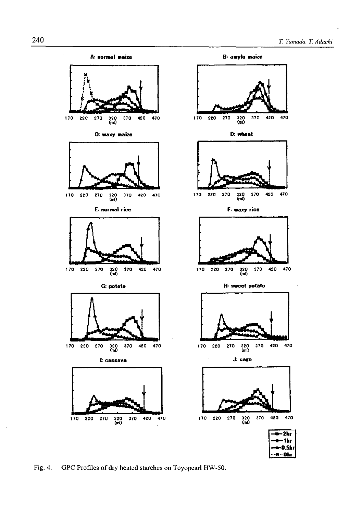

**Fig. 4. GPC Profiles of dry heated starches on Toyopearl HW-50.**